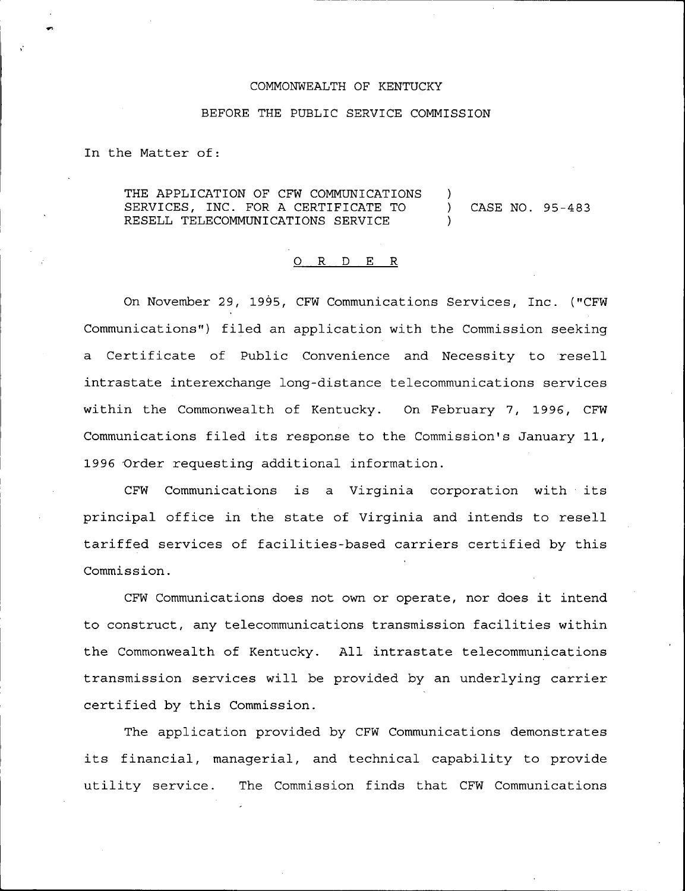## COMMONWEALTH OF KENTUCKY

## BEFORE THE PUBLIC SERVICE COMMISSION

In the Matter of:

THE APPLICATION OF CFW COMMUNICATIONS SERVICES, INC. FOR A CERTIFICATE TO (ASE NO. 95-483) RESELL TELECOMMUNICATIONS SERVICE

## 0 R <sup>D</sup> E R

On November 29, 1995, CFW Communications Services, Inc. ("CFW Communications") filed an application with the Commission seeking a Certificate of Public Convenience and Necessity to resell intrastate interexchange long-distance telecommunications services within the Commonwealth of Kentucky. On February 7, 1996, CFW Communications filed its response to the Commission's January 11, 1996 Order requesting additional information.

CFW Communications is a Virginia corporation with its principal office in the state of Virginia and intends to resell tariffed services of facilities-based carriers certified by this Commission.

CFW Communications does not own or operate, nor does it intend to construct, any telecommunications transmission facilities within the Commonwealth of Kentucky. All intrastate telecommunications transmission services will be provided by an underlying carrier certified by this Commission.

The application provided by CFW Communications demonstrates its financial, managerial, and technical capability to provide utility service. The Commission finds that CFW Communications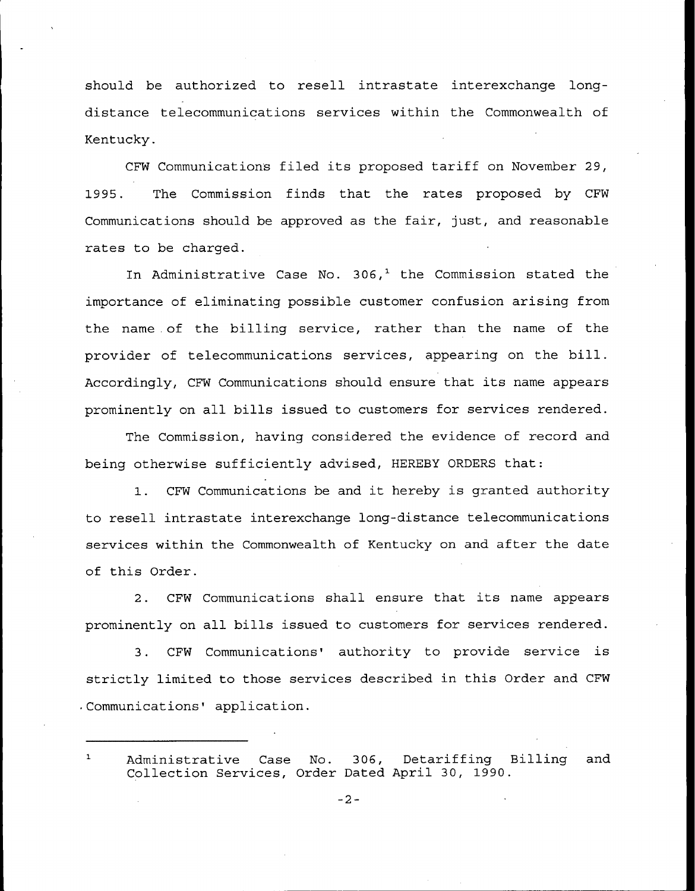should be authorized to resell intrastate interexchange longdistance telecommunications services within the Commonwealth of Kentucky.

CFW Communications filed its proposed tariff on November 29, 1995. The Commission finds that the rates proposed by CFW Communications should be approved as the fair, just, and reasonable rates to be charged.

In Administrative Case No. 306,<sup>1</sup> the Commission stated the importance of eliminating possible customer confusion arising from the name . of the billing service, rather than the name of the provider of telecommunications services, appearing on the bill. Accordingly, CFW Communications should ensure that its name appears prominently on all bills issued to customers for services rendered.

The Commission, having considered the evidence of record and being otherwise sufficiently advised, HEREBY ORDERS that:

1. CFW Communications be and it hereby is granted authority to resell intrastate interexchange long-distance telecommunications services within the Commonwealth of Kentucky on and after the date of this Order.

2. CFW Communications shall ensure that its name appears prominently on all bills issued to customers for services rendered.

3. CFW Communications' authority to provide service is strictly limited to those services described in this Order and CFW . Communications' application.

Administrative Case No. 306, Detariffing Billing and  $\mathbf{1}$ Collection Services, Order Dated April 30, 1990.

 $-2-$